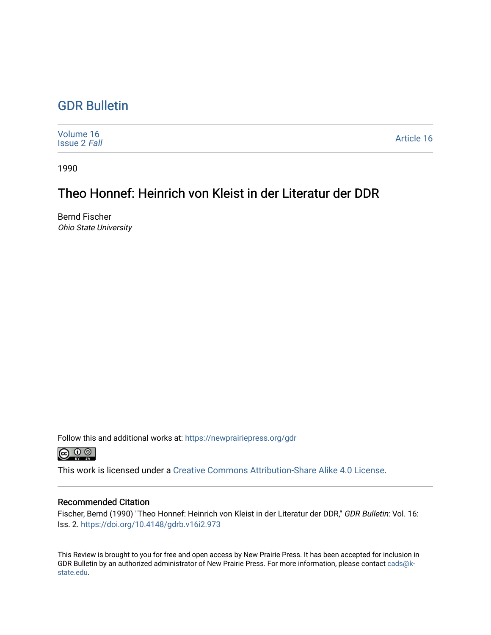## [GDR Bulletin](https://newprairiepress.org/gdr)

| Volume 16<br><b>Issue 2 Fall</b> | Article 16 |
|----------------------------------|------------|
|----------------------------------|------------|

1990

## Theo Honnef: Heinrich von Kleist in der Literatur der DDR

Bernd Fischer Ohio State University

Follow this and additional works at: [https://newprairiepress.org/gdr](https://newprairiepress.org/gdr?utm_source=newprairiepress.org%2Fgdr%2Fvol16%2Fiss2%2F16&utm_medium=PDF&utm_campaign=PDFCoverPages) 



This work is licensed under a [Creative Commons Attribution-Share Alike 4.0 License.](https://creativecommons.org/licenses/by-sa/4.0/)

## Recommended Citation

Fischer, Bernd (1990) "Theo Honnef: Heinrich von Kleist in der Literatur der DDR," GDR Bulletin: Vol. 16: Iss. 2. <https://doi.org/10.4148/gdrb.v16i2.973>

This Review is brought to you for free and open access by New Prairie Press. It has been accepted for inclusion in GDR Bulletin by an authorized administrator of New Prairie Press. For more information, please contact [cads@k](mailto:cads@k-state.edu)[state.edu](mailto:cads@k-state.edu).